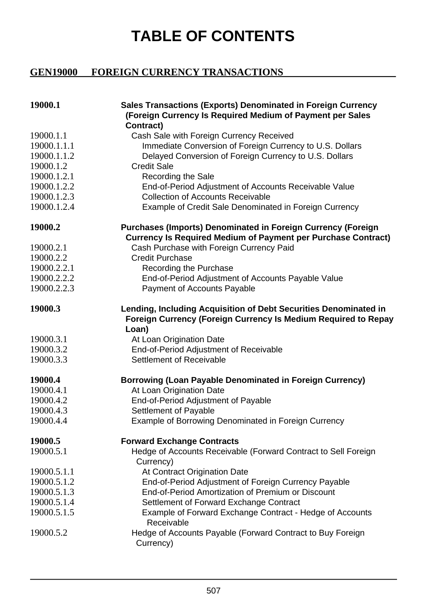## **TABLE OF CONTENTS**

## **GEN19000 FOREIGN CURRENCY TRANSACTIONS**

| 19000.1     | Sales Transactions (Exports) Denominated in Foreign Currency<br>(Foreign Currency Is Required Medium of Payment per Sales<br>Contract)      |
|-------------|---------------------------------------------------------------------------------------------------------------------------------------------|
| 19000.1.1   | Cash Sale with Foreign Currency Received                                                                                                    |
| 19000.1.1.1 | Immediate Conversion of Foreign Currency to U.S. Dollars                                                                                    |
| 19000.1.1.2 | Delayed Conversion of Foreign Currency to U.S. Dollars                                                                                      |
| 19000.1.2   | <b>Credit Sale</b>                                                                                                                          |
| 19000.1.2.1 | Recording the Sale                                                                                                                          |
| 19000.1.2.2 | End-of-Period Adjustment of Accounts Receivable Value                                                                                       |
| 19000.1.2.3 | <b>Collection of Accounts Receivable</b>                                                                                                    |
| 19000.1.2.4 | Example of Credit Sale Denominated in Foreign Currency                                                                                      |
| 19000.2     | <b>Purchases (Imports) Denominated in Foreign Currency (Foreign</b><br><b>Currency Is Required Medium of Payment per Purchase Contract)</b> |
| 19000.2.1   | Cash Purchase with Foreign Currency Paid                                                                                                    |
| 19000.2.2   | <b>Credit Purchase</b>                                                                                                                      |
| 19000.2.2.1 | Recording the Purchase                                                                                                                      |
| 19000.2.2.2 | End-of-Period Adjustment of Accounts Payable Value                                                                                          |
| 19000.2.2.3 | Payment of Accounts Payable                                                                                                                 |
| 19000.3     | Lending, Including Acquisition of Debt Securities Denominated in<br>Foreign Currency (Foreign Currency Is Medium Required to Repay<br>Loan) |
| 19000.3.1   | At Loan Origination Date                                                                                                                    |
| 19000.3.2   | End-of-Period Adjustment of Receivable                                                                                                      |
| 19000.3.3   | Settlement of Receivable                                                                                                                    |
| 19000.4     | <b>Borrowing (Loan Payable Denominated in Foreign Currency)</b>                                                                             |
| 19000.4.1   | At Loan Origination Date                                                                                                                    |
| 19000.4.2   | End-of-Period Adjustment of Payable                                                                                                         |
| 19000.4.3   | Settlement of Payable                                                                                                                       |
| 19000.4.4   | Example of Borrowing Denominated in Foreign Currency                                                                                        |
| 19000.5     | <b>Forward Exchange Contracts</b>                                                                                                           |
| 19000.5.1   | Hedge of Accounts Receivable (Forward Contract to Sell Foreign<br>Currency)                                                                 |
| 19000.5.1.1 | At Contract Origination Date                                                                                                                |
| 19000.5.1.2 | End-of-Period Adjustment of Foreign Currency Payable                                                                                        |
| 19000.5.1.3 | End-of-Period Amortization of Premium or Discount                                                                                           |
| 19000.5.1.4 | Settlement of Forward Exchange Contract                                                                                                     |
| 19000.5.1.5 | Example of Forward Exchange Contract - Hedge of Accounts                                                                                    |
|             | Receivable                                                                                                                                  |
| 19000.5.2   | Hedge of Accounts Payable (Forward Contract to Buy Foreign<br>Currency)                                                                     |